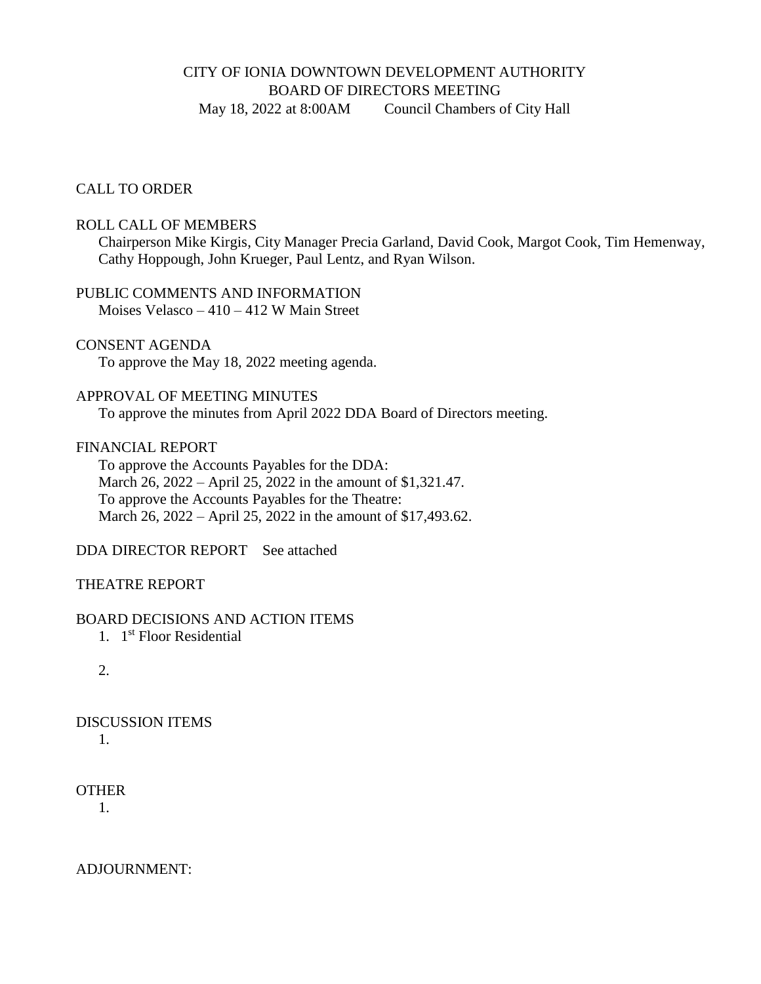### CITY OF IONIA DOWNTOWN DEVELOPMENT AUTHORITY BOARD OF DIRECTORS MEETING May 18, 2022 at 8:00AM Council Chambers of City Hall

#### CALL TO ORDER

#### ROLL CALL OF MEMBERS

Chairperson Mike Kirgis, City Manager Precia Garland, David Cook, Margot Cook, Tim Hemenway, Cathy Hoppough, John Krueger, Paul Lentz, and Ryan Wilson.

# PUBLIC COMMENTS AND INFORMATION

Moises Velasco – 410 – 412 W Main Street

CONSENT AGENDA

To approve the May 18, 2022 meeting agenda.

#### APPROVAL OF MEETING MINUTES

To approve the minutes from April 2022 DDA Board of Directors meeting.

#### FINANCIAL REPORT

To approve the Accounts Payables for the DDA: March 26, 2022 – April 25, 2022 in the amount of \$1,321.47. To approve the Accounts Payables for the Theatre: March 26, 2022 – April 25, 2022 in the amount of \$17,493.62.

DDA DIRECTOR REPORTSee attached

#### THEATRE REPORT

#### BOARD DECISIONS AND ACTION ITEMS

1. 1 st Floor Residential

2.

## DISCUSSION ITEMS

1.

#### **OTHER**

1.

ADJOURNMENT: